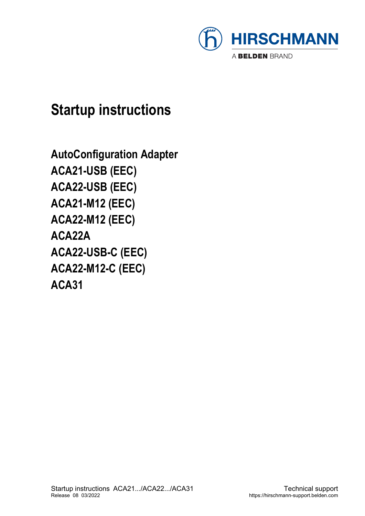

## **Startup instructions**

**AutoConfiguration Adapter ACA21-USB (EEC) ACA22-USB (EEC) ACA21-M12 (EEC) ACA22-M12 (EEC) ACA22A ACA22-USB-C (EEC) ACA22-M12-C (EEC) ACA31**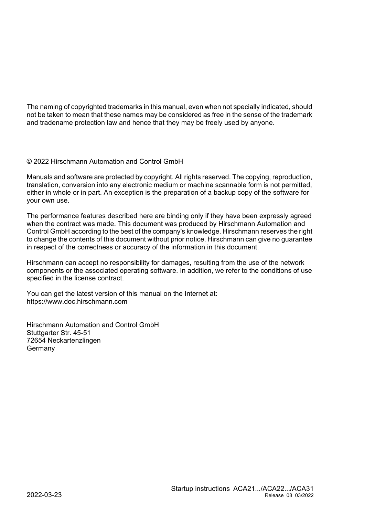The naming of copyrighted trademarks in this manual, even when not specially indicated, should not be taken to mean that these names may be considered as free in the sense of the trademark and tradename protection law and hence that they may be freely used by anyone.

#### © 2022 Hirschmann Automation and Control GmbH

Manuals and software are protected by copyright. All rights reserved. The copying, reproduction, translation, conversion into any electronic medium or machine scannable form is not permitted, either in whole or in part. An exception is the preparation of a backup copy of the software for your own use.

The performance features described here are binding only if they have been expressly agreed when the contract was made. This document was produced by Hirschmann Automation and Control GmbH according to the best of the company's knowledge. Hirschmann reserves the right to change the contents of this document without prior notice. Hirschmann can give no guarantee in respect of the correctness or accuracy of the information in this document.

Hirschmann can accept no responsibility for damages, resulting from the use of the network components or the associated operating software. In addition, we refer to the conditions of use specified in the license contract.

You can get the latest version of this manual on the Internet at: https://www.doc.hirschmann.com

Hirschmann Automation and Control GmbH Stuttgarter Str. 45-51 72654 Neckartenzlingen Germany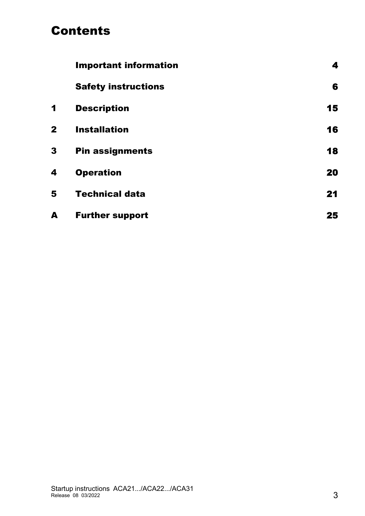### Contents

|              | <b>Important information</b> | 4  |
|--------------|------------------------------|----|
|              | <b>Safety instructions</b>   | 6  |
| 1            | <b>Description</b>           | 15 |
| $\mathbf{2}$ | <b>Installation</b>          | 16 |
| 3            | <b>Pin assignments</b>       | 18 |
| 4            | <b>Operation</b>             | 20 |
| 5            | <b>Technical data</b>        | 21 |
| A            | <b>Further support</b>       | 25 |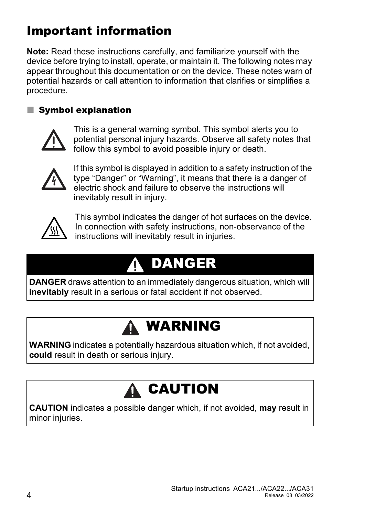## <span id="page-3-0"></span>Important information

**Note:** Read these instructions carefully, and familiarize yourself with the device before trying to install, operate, or maintain it. The following notes may appear throughout this documentation or on the device. These notes warn of potential hazards or call attention to information that clarifies or simplifies a procedure.

#### Symbol explanation



This is a general warning symbol. This symbol alerts you to potential personal injury hazards. Observe all safety notes that follow this symbol to avoid possible injury or death.



If this symbol is displayed in addition to a safety instruction of the type "Danger" or "Warning", it means that there is a danger of electric shock and failure to observe the instructions will inevitably result in injury.



This symbol indicates the danger of hot surfaces on the device. In connection with safety instructions, non-observance of the instructions will inevitably result in injuries.

#### DANGER 0

**DANGER** draws attention to an immediately dangerous situation, which will **inevitably** result in a serious or fatal accident if not observed.

## WARNING

**WARNING** indicates a potentially hazardous situation which, if not avoided, **could** result in death or serious injury.

# CAUTION

**CAUTION** indicates a possible danger which, if not avoided, **may** result in minor injuries.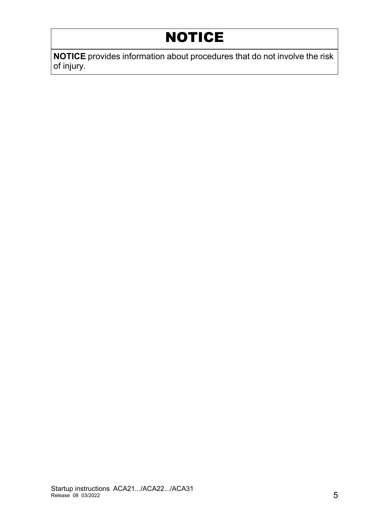## NOTICE

**NOTICE** provides information about procedures that do not involve the risk of injury.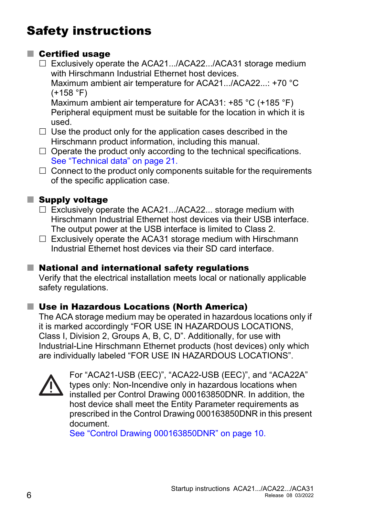## <span id="page-5-0"></span>Safety instructions

#### ■ Certified usage

- □ Exclusively operate the ACA21.../ACA22.../ACA31 storage medium with Hirschmann Industrial Ethernet host devices. Maximum ambient air temperature for ACA21.../ACA22...: +70 °C  $(+158 °F)$ Maximum ambient air temperature for ACA31: +85 °C (+185 °F) Peripheral equipment must be suitable for the location in which it is used.
- $\Box$  Use the product only for the application cases described in the Hirschmann product information, including this manual.
- $\Box$  Operate the product only according to the technical specifications. See ["Technical data" on page 21](#page-20-0).
- $\Box$  Connect to the product only components suitable for the requirements of the specific application case.

#### **Supply voltage**

- $\Box$  Exclusively operate the ACA21.../ACA22... storage medium with Hirschmann Industrial Ethernet host devices via their USB interface. The output power at the USB interface is limited to Class 2.
- $\Box$  Exclusively operate the ACA31 storage medium with Hirschmann Industrial Ethernet host devices via their SD card interface.

#### ■ National and international safety regulations

Verify that the electrical installation meets local or nationally applicable safety regulations.

#### ■ Use in Hazardous Locations (North America)

The ACA storage medium may be operated in hazardous locations only if it is marked accordingly "FOR USE IN HAZARDOUS LOCATIONS, Class I, Division 2, Groups A, B, C, D". Additionally, for use with Industrial-Line Hirschmann Ethernet products (host devices) only which are individually labeled "FOR USE IN HAZARDOUS LOCATIONS".



For "ACA21-USB (EEC)", "ACA22-USB (EEC)", and "ACA22A" types only: Non-Incendive only in hazardous locations when installed per Control Drawing 000163850DNR. In addition, the host device shall meet the Entity Parameter requirements as prescribed in the Control Drawing 000163850DNR in this present document.

See ["Control Drawing 000163850DNR" on page 10](#page-9-0).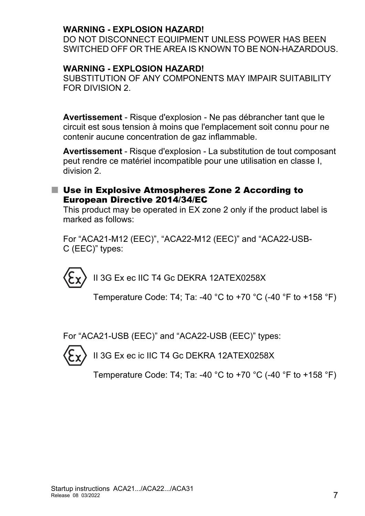#### **WARNING - EXPLOSION HAZARD!**

DO NOT DISCONNECT EQUIPMENT UNLESS POWER HAS BEEN SWITCHED OFF OR THE AREA IS KNOWN TO BE NON-HAZARDOUS.

#### **WARNING - EXPLOSION HAZARD!**

SUBSTITUTION OF ANY COMPONENTS MAY IMPAIR SUITABILITY FOR DIVISION 2.

**Avertissement** - Risque d'explosion - Ne pas débrancher tant que le circuit est sous tension à moins que l'emplacement soit connu pour ne contenir aucune concentration de gaz inflammable.

**Avertissement** - Risque d'explosion - La substitution de tout composant peut rendre ce matériel incompatible pour une utilisation en classe I, division 2.

#### <span id="page-6-0"></span>■ Use in Explosive Atmospheres Zone 2 According to European Directive 2014/34/EC

This product may be operated in EX zone 2 only if the product label is marked as follows:

For "ACA21-M12 (EEC)", "ACA22-M12 (EEC)" and "ACA22-USB-C (EEC)" types:

II 3G Ex ec IIC T4 Gc DEKRA 12ATEX0258X

Temperature Code: T4; Ta: -40 °C to +70 °C (-40 °F to +158 °F)

For "ACA21-USB (EEC)" and "ACA22-USB (EEC)" types:



II 3G Ex ec ic IIC T4 Gc DEKRA 12ATEX0258X

Temperature Code: T4; Ta: -40 °C to +70 °C (-40 °F to +158 °F)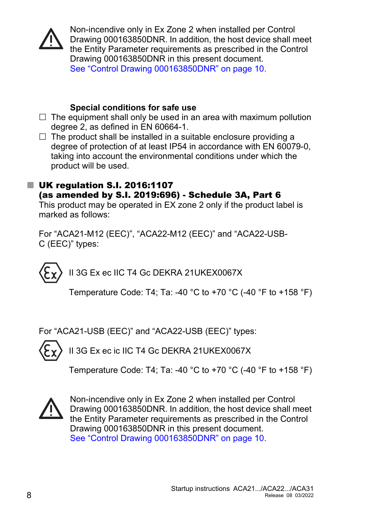

Non-incendive only in Ex Zone 2 when installed per Control Drawing 000163850DNR. In addition, the host device shall meet the Entity Parameter requirements as prescribed in the Control Drawing 000163850DNR in this present document. See ["Control Drawing 000163850DNR" on page 10.](#page-9-0)

#### **Special conditions for safe use**

- $\Box$  The equipment shall only be used in an area with maximum pollution degree 2, as defined in EN 60664-1.
- $\Box$  The product shall be installed in a suitable enclosure providing a degree of protection of at least IP54 in accordance with EN 60079-0, taking into account the environmental conditions under which the product will be used.

#### <span id="page-7-0"></span>■ UK regulation S.I. 2016:1107 (as amended by S.I. 2019:696) - Schedule 3A, Part 6

This product may be operated in EX zone 2 only if the product label is marked as follows:

For "ACA21-M12 (EEC)", "ACA22-M12 (EEC)" and "ACA22-USB-C (EEC)" types:

II 3G Ex ec IIC T4 Gc DEKRA 21UKEX0067X

Temperature Code: T4; Ta: -40 °C to +70 °C (-40 °F to +158 °F)

For "ACA21-USB (EEC)" and "ACA22-USB (EEC)" types:

II 3G Ex ec ic IIC T4 Gc DEKRA 21UKEX0067X

Temperature Code: T4; Ta: -40 °C to +70 °C (-40 °F to +158 °F)



Non-incendive only in Ex Zone 2 when installed per Control Drawing 000163850DNR. In addition, the host device shall meet the Entity Parameter requirements as prescribed in the Control Drawing 000163850DNR in this present document. See ["Control Drawing 000163850DNR" on page 10.](#page-9-0)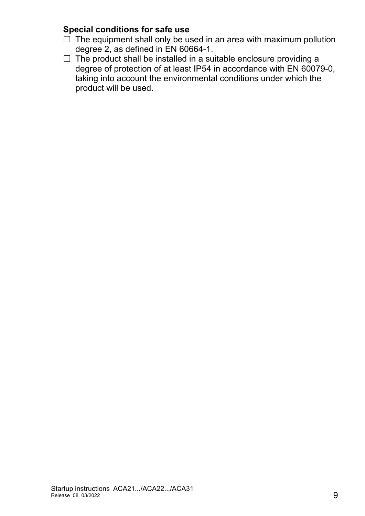#### **Special conditions for safe use**

- $\Box$  The equipment shall only be used in an area with maximum pollution degree 2, as defined in EN 60664-1.
- $\Box$  The product shall be installed in a suitable enclosure providing a degree of protection of at least IP54 in accordance with EN 60079-0, taking into account the environmental conditions under which the product will be used.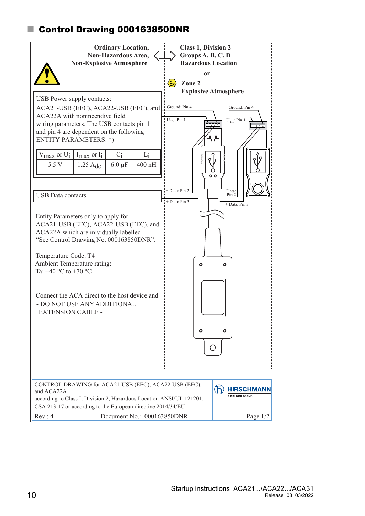#### <span id="page-9-0"></span>Control Drawing 000163850DNR

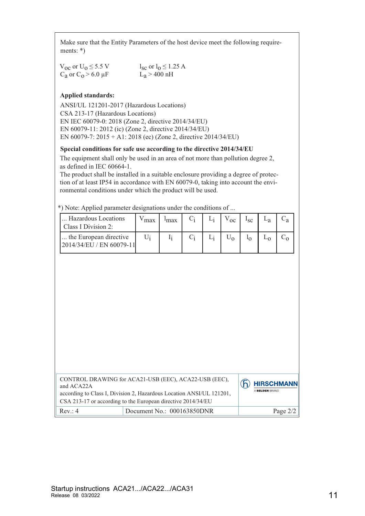Make sure that the Entity Parameters of the host device meet the following requirements: \*)

| $V_{\text{OC}}$ or $U_0 \leq 5.5$ V | $l_{\rm sc}$ or $l_0 \leq 1.25$ A |
|-------------------------------------|-----------------------------------|
| $C_a$ or $C_0 > 6.0 \mu F$          | $L_a > 400$ nH                    |

#### **Applied standards:**

ANSI/UL 121201-2017 (Hazardous Locations) CSA 213-17 (Hazardous Locations) EN IEC 60079-0: 2018 (Zone 2, directive 2014/34/EU) EN 60079-11: 2012 (ic) (Zone 2, directive 2014/34/EU) EN 60079-7: 2015 + A1: 2018 (ec) (Zone 2, directive 2014/34/EU)

#### **Special conditions for safe use according to the directive 2014/34/EU**

The equipment shall only be used in an area of not more than pollution degree 2, as defined in IEC 60664-1.

The product shall be installed in a suitable enclosure providing a degree of protection of at least IP54 in accordance with EN 60079-0, taking into account the environmental conditions under which the product will be used.

\*) Note: Applied parameter designations under the conditions of ...

| Hazardous Locations<br>Class I Division 2:           | max | <sup>1</sup> max |  | $\alpha$ | $\mathbf{c}$ |  |
|------------------------------------------------------|-----|------------------|--|----------|--------------|--|
| the European directive<br>[2014/34/EU / EN 60079-11] |     |                  |  |          |              |  |

| CONTROL DRAWING for ACA21-USB (EEC), ACA22-USB (EEC),<br>and ACA22A<br>according to Class I, Division 2, Hazardous Location ANSI/UL 121201,<br>CSA 213-17 or according to the European directive 2014/34/EU |                            |  |  | A BELDEN BRAND | <b>HIRSCHMANN</b> |
|-------------------------------------------------------------------------------------------------------------------------------------------------------------------------------------------------------------|----------------------------|--|--|----------------|-------------------|
| Rev: 4                                                                                                                                                                                                      | Document No.: 000163850DNR |  |  |                | Page $2/2$        |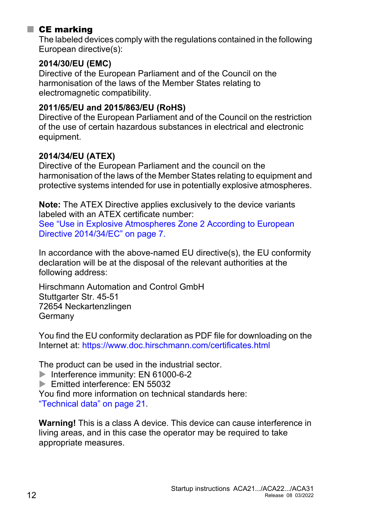#### ■ CE marking

The labeled devices comply with the regulations contained in the following European directive(s):

#### **2014/30/EU (EMC)**

Directive of the European Parliament and of the Council on the harmonisation of the laws of the Member States relating to electromagnetic compatibility.

#### **2011/65/EU and 2015/863/EU (RoHS)**

Directive of the European Parliament and of the Council on the restriction of the use of certain hazardous substances in electrical and electronic equipment.

#### **2014/34/EU (ATEX)**

Directive of the European Parliament and the council on the harmonisation of the laws of the Member States relating to equipment and protective systems intended for use in potentially explosive atmospheres.

**Note:** The ATEX Directive applies exclusively to the device variants labeled with an ATEX certificate number: See ["Use in Explosive Atmospheres Zone 2 According to European](#page-6-0)  [Directive 2014/34/EC" on page 7](#page-6-0).

In accordance with the above-named EU directive(s), the EU conformity declaration will be at the disposal of the relevant authorities at the following address:

Hirschmann Automation and Control GmbH Stuttgarter Str. 45-51 72654 Neckartenzlingen **Germany** 

[You find the EU conformity declaration as PDF file for downloading on the](https://www.doc.hirschmann.com/certificates.html)  [Internet at:](https://www.doc.hirschmann.com/certificates.html) https://www.doc.hirschmann.com/certificates.html

The product can be used in the industrial sector.

Interference immunity: EN 61000-6-2

Emitted interference: EN 55032

You find more information on technical standards here: ["Technical data" on page 21.](#page-20-0)

**Warning!** This is a class A device. This device can cause interference in living areas, and in this case the operator may be required to take appropriate measures.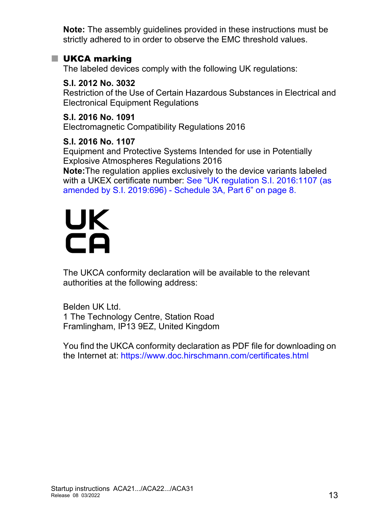**Note:** The assembly guidelines provided in these instructions must be strictly adhered to in order to observe the EMC threshold values.

#### **UKCA marking**

The labeled devices comply with the following UK regulations:

**S.I. 2012 No. 3032** Restriction of the Use of Certain Hazardous Substances in Electrical and Electronical Equipment Regulations

**S.I. 2016 No. 1091** Electromagnetic Compatibility Regulations 2016

**S.I. 2016 No. 1107**

Equipment and Protective Systems Intended for use in Potentially Explosive Atmospheres Regulations 2016

**Note:**The regulation applies exclusively to the device variants labeled with a UKEX certificate number: See ["UK regulation S.I. 2016:1107 \(as](#page-7-0)  [amended by S.I. 2019:696\) - Schedule 3A, Part 6" on page 8.](#page-7-0)

# UK ČÄ

The UKCA conformity declaration will be available to the relevant authorities at the following address:

Belden UK Ltd. 1 The Technology Centre, Station Road Framlingham, IP13 9EZ, United Kingdom

[You find the UKCA conformity declaration as PDF file for downloading on](https://www.doc.hirschmann.com/certificates.html)  [the Internet at:](https://www.doc.hirschmann.com/certificates.html) https://www.doc.hirschmann.com/certificates.html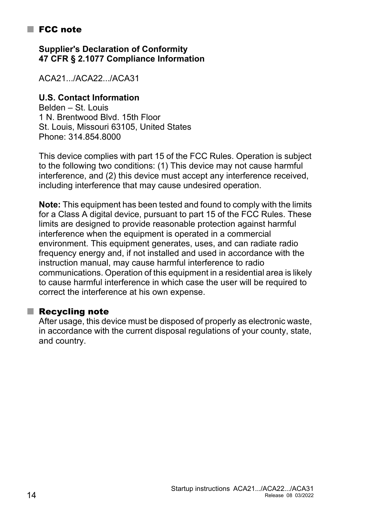#### ■ FCC note

**Supplier's Declaration of Conformity 47 CFR § 2.1077 Compliance Information**

ACA21.../ACA22.../ACA31

#### **U.S. Contact Information**

Belden – St. Louis 1 N. Brentwood Blvd. 15th Floor St. Louis, Missouri 63105, United States Phone: 314.854.8000

This device complies with part 15 of the FCC Rules. Operation is subject to the following two conditions: (1) This device may not cause harmful interference, and (2) this device must accept any interference received, including interference that may cause undesired operation.

**Note:** This equipment has been tested and found to comply with the limits for a Class A digital device, pursuant to part 15 of the FCC Rules. These limits are designed to provide reasonable protection against harmful interference when the equipment is operated in a commercial environment. This equipment generates, uses, and can radiate radio frequency energy and, if not installed and used in accordance with the instruction manual, may cause harmful interference to radio communications. Operation of this equipment in a residential area is likely to cause harmful interference in which case the user will be required to correct the interference at his own expense.

#### $\blacksquare$  Recycling note

After usage, this device must be disposed of properly as electronic waste, in accordance with the current disposal regulations of your county, state, and country.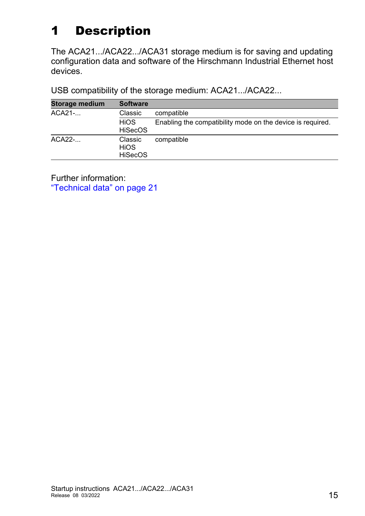## <span id="page-14-0"></span>1 Description

The ACA21.../ACA22.../ACA31 storage medium is for saving and updating configuration data and software of the Hirschmann Industrial Ethernet host devices.

USB compatibility of the storage medium: ACA21.../ACA22...

| <b>Storage medium</b> | <b>Software</b>                          |                                                            |
|-----------------------|------------------------------------------|------------------------------------------------------------|
| ACA21-                | Classic                                  | compatible                                                 |
|                       | <b>HiOS</b><br><b>HiSecOS</b>            | Enabling the compatibility mode on the device is required. |
| ACA22-                | Classic<br><b>HIOS</b><br><b>HiSecOS</b> | compatible                                                 |

Further information:

["Technical data" on page 21](#page-20-0)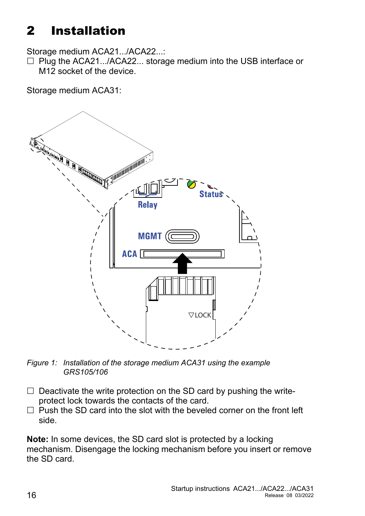## <span id="page-15-0"></span>2 Installation

Storage medium ACA21.../ACA22...:

 $\Box$  Plug the ACA21.../ACA22... storage medium into the USB interface or M12 socket of the device.

Storage medium ACA31:



*Figure 1: Installation of the storage medium ACA31 using the example GRS105/106*

- $\Box$  Deactivate the write protection on the SD card by pushing the writeprotect lock towards the contacts of the card.
- $\Box$  Push the SD card into the slot with the beveled corner on the front left side.

**Note:** In some devices, the SD card slot is protected by a locking mechanism. Disengage the locking mechanism before you insert or remove the SD card.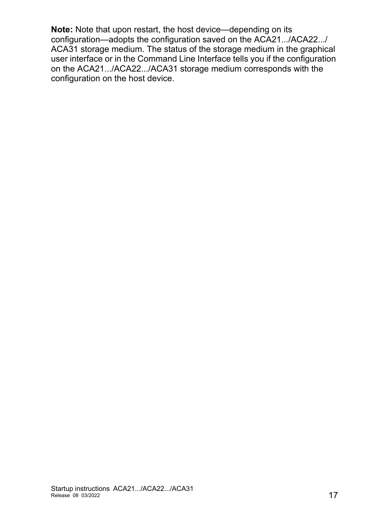**Note:** Note that upon restart, the host device—depending on its configuration—adopts the configuration saved on the ACA21.../ACA22.../ ACA31 storage medium. The status of the storage medium in the graphical user interface or in the Command Line Interface tells you if the configuration on the ACA21.../ACA22.../ACA31 storage medium corresponds with the configuration on the host device.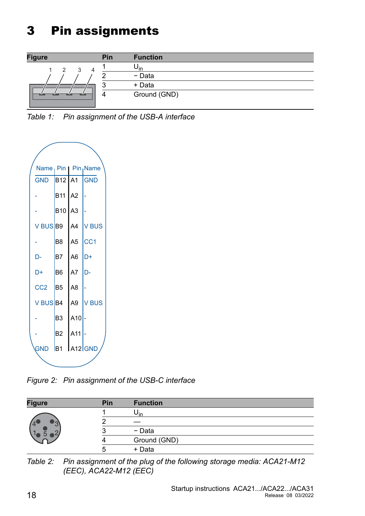## <span id="page-17-0"></span>3 Pin assignments



*Table 1: Pin assignment of the USB-A interface*



*Figure 2: Pin assignment of the USB-C interface*

| <b>Figure</b> | Pin | <b>Function</b> |
|---------------|-----|-----------------|
|               |     | Uin             |
|               |     |                 |
|               |     | - Data          |
|               |     | Ground (GND)    |
|               |     | + Data          |

*Table 2: Pin assignment of the plug of the following storage media: ACA21-M12 (EEC), ACA22-M12 (EEC)*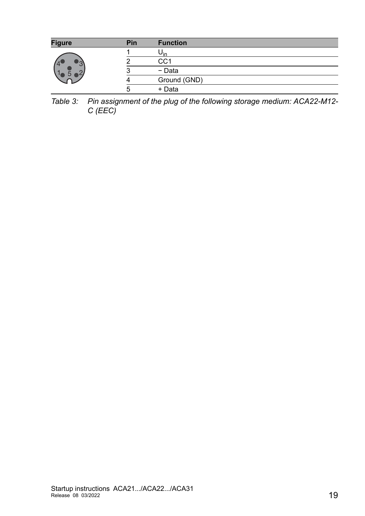| <b>Figure</b> | Pin | <b>Function</b> |
|---------------|-----|-----------------|
|               |     | ∪in             |
|               |     | CC <sub>1</sub> |
|               |     | - Data          |
|               |     | Ground (GND)    |
|               | ∽   | + Data          |

*Table 3: Pin assignment of the plug of the following storage medium: ACA22-M12- C (EEC)*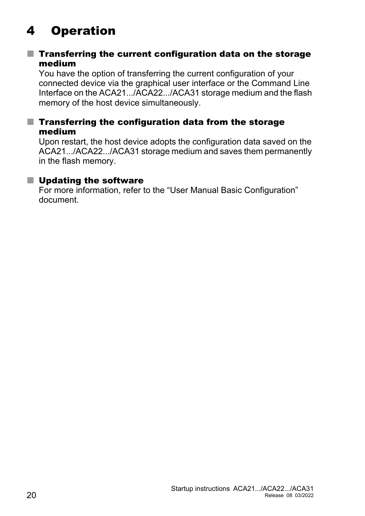## <span id="page-19-0"></span>4 Operation

#### $\blacksquare$  Transferring the current configuration data on the storage medium

You have the option of transferring the current configuration of your connected device via the graphical user interface or the Command Line Interface on the ACA21.../ACA22.../ACA31 storage medium and the flash memory of the host device simultaneously.

#### $\blacksquare$  Transferring the configuration data from the storage medium

Upon restart, the host device adopts the configuration data saved on the ACA21.../ACA22.../ACA31 storage medium and saves them permanently in the flash memory.

#### ■ Updating the software

For more information, refer to the "User Manual Basic Configuration" document.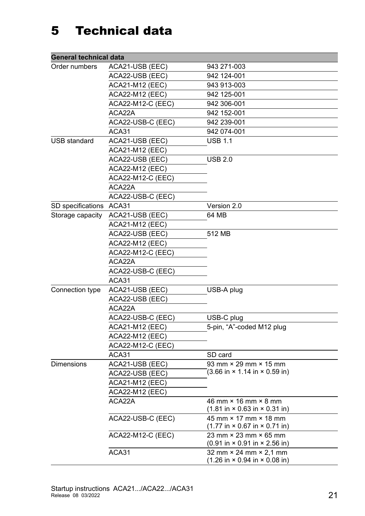## <span id="page-20-0"></span>5 Technical data

| <b>General technical data</b> |                          |                                                                                                           |  |  |
|-------------------------------|--------------------------|-----------------------------------------------------------------------------------------------------------|--|--|
| Order numbers                 | ACA21-USB (EEC)          | 943 271-003                                                                                               |  |  |
|                               | ACA22-USB (EEC)          | 942 124-001                                                                                               |  |  |
|                               | <b>ACA21-M12 (EEC)</b>   | 943 913-003                                                                                               |  |  |
|                               | <b>ACA22-M12 (EEC)</b>   | 942 125-001                                                                                               |  |  |
|                               | <b>ACA22-M12-C (EEC)</b> | 942 306-001                                                                                               |  |  |
|                               | ACA22A                   | 942 152-001                                                                                               |  |  |
|                               | ACA22-USB-C (EEC)        | 942 239-001                                                                                               |  |  |
|                               | ACA31                    | 942 074-001                                                                                               |  |  |
| <b>USB standard</b>           | ACA21-USB (EEC)          | <b>USB 1.1</b>                                                                                            |  |  |
|                               | <b>ACA21-M12 (EEC)</b>   |                                                                                                           |  |  |
|                               | ACA22-USB (EEC)          | <b>USB 2.0</b>                                                                                            |  |  |
|                               | <b>ACA22-M12 (EEC)</b>   |                                                                                                           |  |  |
|                               | <b>ACA22-M12-C (EEC)</b> |                                                                                                           |  |  |
|                               | ACA22A                   |                                                                                                           |  |  |
|                               | ACA22-USB-C (EEC)        |                                                                                                           |  |  |
| SD specifications             | ACA31                    | Version 2.0                                                                                               |  |  |
| Storage capacity              | ACA21-USB (EEC)          | 64 MB                                                                                                     |  |  |
|                               | <b>ACA21-M12 (EEC)</b>   |                                                                                                           |  |  |
|                               | ACA22-USB (EEC)          | 512 MB                                                                                                    |  |  |
|                               | <b>ACA22-M12 (EEC)</b>   |                                                                                                           |  |  |
|                               | <b>ACA22-M12-C (EEC)</b> |                                                                                                           |  |  |
|                               | ACA22A                   |                                                                                                           |  |  |
|                               | ACA22-USB-C (EEC)        |                                                                                                           |  |  |
|                               | ACA31                    |                                                                                                           |  |  |
| Connection type               | ACA21-USB (EEC)          | USB-A plug                                                                                                |  |  |
|                               | ACA22-USB (EEC)          |                                                                                                           |  |  |
|                               | ACA22A                   |                                                                                                           |  |  |
|                               | ACA22-USB-C (EEC)        | USB-C plug                                                                                                |  |  |
|                               | <b>ACA21-M12 (EEC)</b>   | 5-pin, "A"-coded M12 plug                                                                                 |  |  |
|                               | <b>ACA22-M12 (EEC)</b>   |                                                                                                           |  |  |
|                               | <b>ACA22-M12-C (EEC)</b> |                                                                                                           |  |  |
|                               | ACA31                    | SD card                                                                                                   |  |  |
| <b>Dimensions</b>             | ACA21-USB (EEC)          | 93 mm $\times$ 29 mm $\times$ 15 mm                                                                       |  |  |
|                               | ACA22-USB (EEC)          | $(3.66 \text{ in} \times 1.14 \text{ in} \times 0.59 \text{ in})$                                         |  |  |
|                               | <b>ACA21-M12 (EEC)</b>   |                                                                                                           |  |  |
|                               | <b>ACA22-M12 (EEC)</b>   |                                                                                                           |  |  |
|                               | ACA22A                   | 46 mm $\times$ 16 mm $\times$ 8 mm<br>$(1.81 \text{ in} \times 0.63 \text{ in} \times 0.31 \text{ in})$   |  |  |
|                               | ACA22-USB-C (EEC)        | 45 mm × 17 mm × 18 mm<br>$(1.77 \text{ in} \times 0.67 \text{ in} \times 0.71 \text{ in})$                |  |  |
|                               | ACA22-M12-C (EEC)        | 23 mm × 23 mm × 65 mm<br>$(0.91 \text{ in} \times 0.91 \text{ in} \times 2.56 \text{ in})$                |  |  |
|                               | ACA31                    | 32 mm $\times$ 24 mm $\times$ 2,1 mm<br>$(1.26 \text{ in} \times 0.94 \text{ in} \times 0.08 \text{ in})$ |  |  |
|                               |                          |                                                                                                           |  |  |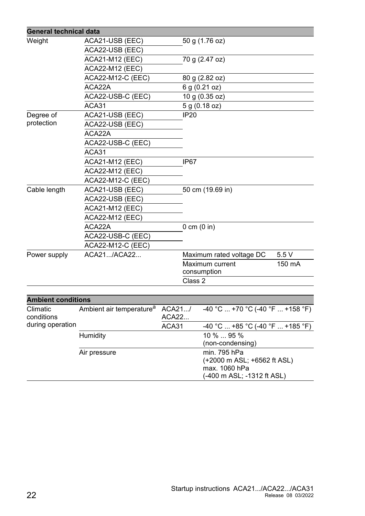| <b>General technical data</b> |                                      |                  |                                              |        |  |
|-------------------------------|--------------------------------------|------------------|----------------------------------------------|--------|--|
| Weight                        | ACA21-USB (EEC)                      |                  | 50 g (1.76 oz)                               |        |  |
|                               | ACA22-USB (EEC)                      |                  |                                              |        |  |
|                               | <b>ACA21-M12 (EEC)</b>               | 70 g (2.47 oz)   |                                              |        |  |
|                               | <b>ACA22-M12 (EEC)</b>               |                  |                                              |        |  |
|                               | ACA22-M12-C (EEC)                    |                  | 80 g (2.82 oz)                               |        |  |
|                               | ACA22A                               |                  | 6 g (0.21 oz)                                |        |  |
|                               | ACA22-USB-C (EEC)                    |                  | 10 g (0.35 oz)                               |        |  |
|                               | ACA31                                |                  | 5 g (0.18 oz)                                |        |  |
| Degree of                     | ACA21-USB (EEC)                      | <b>IP20</b>      |                                              |        |  |
| protection                    | ACA22-USB (EEC)                      |                  |                                              |        |  |
|                               | ACA22A                               |                  |                                              |        |  |
|                               | ACA22-USB-C (EEC)                    |                  |                                              |        |  |
|                               | ACA31                                |                  |                                              |        |  |
|                               | <b>ACA21-M12 (EEC)</b>               | IP <sub>67</sub> |                                              |        |  |
|                               | <b>ACA22-M12 (EEC)</b>               |                  |                                              |        |  |
|                               | <b>ACA22-M12-C (EEC)</b>             |                  |                                              |        |  |
| Cable length                  | ACA21-USB (EEC)                      |                  | 50 cm (19.69 in)                             |        |  |
|                               | ACA22-USB (EEC)                      |                  |                                              |        |  |
|                               | <b>ACA21-M12 (EEC)</b>               |                  |                                              |        |  |
|                               | <b>ACA22-M12 (EEC)</b>               |                  |                                              |        |  |
|                               | ACA22A                               |                  | $0 \text{ cm } (0 \text{ in})$               |        |  |
|                               | ACA22-USB-C (EEC)                    |                  |                                              |        |  |
|                               | <b>ACA22-M12-C (EEC)</b>             |                  |                                              |        |  |
| Power supply                  | ACA21/ACA22                          |                  | Maximum rated voltage DC                     | 5.5 V  |  |
|                               |                                      |                  | Maximum current                              | 150 mA |  |
|                               |                                      |                  | consumption                                  |        |  |
|                               |                                      | Class 2          |                                              |        |  |
|                               |                                      |                  |                                              |        |  |
| <b>Ambient conditions</b>     |                                      |                  |                                              |        |  |
| Climatic<br>conditions        | Ambient air temperature <sup>a</sup> | ACA21/<br>ACA22  | $-40$ °C  +70 °C (-40 °F  +158 °F)           |        |  |
| during operation              |                                      | ACA31            | $-40$ °C  +85 °C (-40 °F  +185 °F)           |        |  |
|                               | Humidity                             |                  | 10 %  95 %                                   |        |  |
|                               |                                      |                  | (non-condensing)                             |        |  |
|                               | Air pressure                         |                  | min. 795 hPa                                 |        |  |
|                               |                                      |                  | (+2000 m ASL; +6562 ft ASL)<br>max. 1060 hPa |        |  |
|                               |                                      |                  | (-400 m ASL; -1312 ft ASL)                   |        |  |
|                               |                                      |                  |                                              |        |  |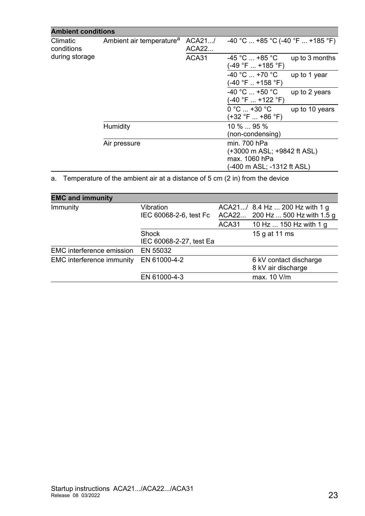| <b>Ambient conditions</b>            |                          |                                                              |                            |  |
|--------------------------------------|--------------------------|--------------------------------------------------------------|----------------------------|--|
| Ambient air temperature <sup>a</sup> | ACA21/<br>ACA22<br>ACA31 | $-40$ °C  +85 °C (-40 °F  +185 °F)                           |                            |  |
|                                      |                          | $-45\degree$ C  +85 $\degree$ C<br>$(-49 °F  +185 °F)$       | up to 3 months             |  |
|                                      |                          | $-40 °C$ +70 $°C$<br>$(-40 °F  + 158 °F)$                    | up to 1 year               |  |
|                                      |                          | $-40$ °C $\ldots$ +50 °C<br>(-40 °F  +122 °F)                | up to 2 years              |  |
|                                      |                          | $0 °C  +30 °C$<br>(+32 °F  +86 °F)                           | up to 10 years             |  |
| Humidity                             |                          | $10\%$ 95 $\%$<br>(non-condensing)                           |                            |  |
| Air pressure                         |                          | min. 700 hPa<br>(+3000 m ASL; +9842 ft ASL)<br>max. 1060 hPa |                            |  |
|                                      |                          |                                                              | (-400 m ASL; -1312 ft ASL) |  |

a. Temperature of the ambient air at a distance of 5 cm (2 in) from the device

| <b>EMC and immunity</b>          |                                         |       |                                                                   |
|----------------------------------|-----------------------------------------|-------|-------------------------------------------------------------------|
| Immunity                         | Vibration<br>IEC 60068-2-6, test Fc     |       | ACA21/ 8.4 Hz  200 Hz with 1 g<br>ACA22 200 Hz  500 Hz with 1.5 g |
|                                  |                                         | ACA31 | 10 Hz  150 Hz with 1 g                                            |
|                                  | <b>Shock</b><br>IEC 60068-2-27, test Ea |       | 15 g at 11 ms                                                     |
| <b>EMC</b> interference emission | EN 55032                                |       |                                                                   |
| <b>EMC</b> interference immunity | EN 61000-4-2                            |       | 6 kV contact discharge<br>8 kV air discharge                      |
|                                  | EN 61000-4-3                            |       | max. 10 V/m                                                       |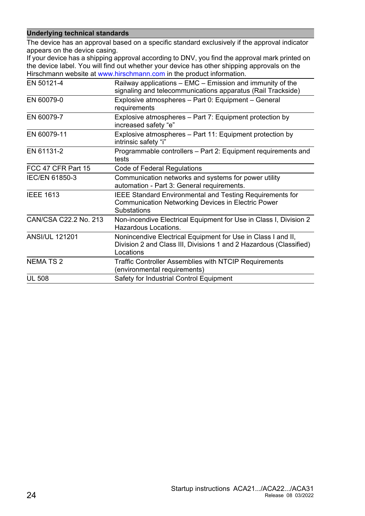#### **Underlying technical standards**

The device has an approval based on a specific standard exclusively if the approval indicator appears on the device casing.

[If your device has a shipping approval according to DNV, you find the approval mark printed on](http://www.hirschmann.com)  the device label. You will find out whether your device has other shipping approvals on the [Hirschmann website at w](http://www.hirschmann.com)ww.hirschmann.com in the product information.

| EN 50121-4            | Railway applications - EMC - Emission and immunity of the<br>signaling and telecommunications apparatus (Rail Trackside)                           |
|-----------------------|----------------------------------------------------------------------------------------------------------------------------------------------------|
| EN 60079-0            | Explosive atmospheres - Part 0: Equipment - General<br>requirements                                                                                |
| EN 60079-7            | Explosive atmospheres – Part 7: Equipment protection by<br>increased safety "e"                                                                    |
| EN 60079-11           | Explosive atmospheres - Part 11: Equipment protection by<br>intrinsic safety "i"                                                                   |
| EN 61131-2            | Programmable controllers - Part 2: Equipment requirements and<br>tests                                                                             |
| FCC 47 CFR Part 15    | <b>Code of Federal Regulations</b>                                                                                                                 |
| <b>IEC/EN 61850-3</b> | Communication networks and systems for power utility<br>automation - Part 3: General requirements.                                                 |
| <b>IEEE 1613</b>      | <b>IEEE Standard Environmental and Testing Requirements for</b><br><b>Communication Networking Devices in Electric Power</b><br><b>Substations</b> |
| CAN/CSA C22.2 No. 213 | Non-incendive Electrical Equipment for Use in Class I, Division 2<br>Hazardous Locations.                                                          |
| <b>ANSI/UL 121201</b> | Nonincendive Electrical Equipment for Use in Class I and II,<br>Division 2 and Class III, Divisions 1 and 2 Hazardous (Classified)<br>Locations    |
| <b>NEMA TS 2</b>      | Traffic Controller Assemblies with NTCIP Requirements<br>(environmental requirements)                                                              |
| <b>UL 508</b>         | Safety for Industrial Control Equipment                                                                                                            |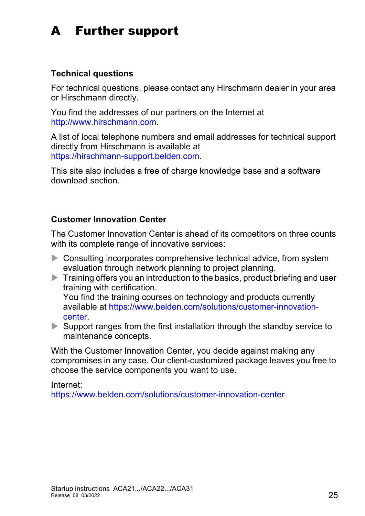## <span id="page-24-0"></span>A Further support

#### **Technical questions**

For technical questions, please contact any Hirschmann dealer in your area or Hirschmann directly.

[You find the addresses of our partners on the Internet at](http://www.hirschmann.com) http://www.hirschmann.com.

[A list of local telephone numbers and email addresses for technical support](https://hirschmann-support.belden.com)  directly from Hirschmann is available at https://hirschmann-support.belden.com.

This site also includes a free of charge knowledge base and a software download section.

#### **Customer Innovation Center**

The Customer Innovation Center is ahead of its competitors on three counts with its complete range of innovative services:

- Consulting incorporates comprehensive technical advice, from system evaluation through network planning to project planning.
- $\blacktriangleright$  Training offers you an introduction to the basics, product briefing and user training with certification. [You find the training courses on technology and products currently](https://www.belden.com/solutions/customer-innovation-center)  [available at h](https://www.belden.com/solutions/customer-innovation-center)ttps://www.belden.com/solutions/customer-innovationcenter.
- $\triangleright$  Support ranges from the first installation through the standby service to maintenance concepts.

With the Customer Innovation Center, you decide against making any compromises in any case. Our client-customized package leaves you free to choose the service components you want to use.

Internet:

https://www.belden.com/solutions/customer-innovation-center